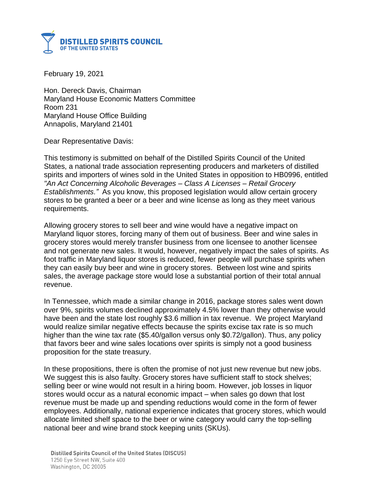

February 19, 2021

Hon. Dereck Davis, Chairman Maryland House Economic Matters Committee Room 231 Maryland House Office Building Annapolis, Maryland 21401

Dear Representative Davis:

This testimony is submitted on behalf of the Distilled Spirits Council of the United States, a national trade association representing producers and marketers of distilled spirits and importers of wines sold in the United States in opposition to HB0996, entitled *"An Act Concerning Alcoholic Beverages – Class A Licenses – Retail Grocery Establishments."* As you know, this proposed legislation would allow certain grocery stores to be granted a beer or a beer and wine license as long as they meet various requirements.

Allowing grocery stores to sell beer and wine would have a negative impact on Maryland liquor stores, forcing many of them out of business. Beer and wine sales in grocery stores would merely transfer business from one licensee to another licensee and not generate new sales. It would, however, negatively impact the sales of spirits. As foot traffic in Maryland liquor stores is reduced, fewer people will purchase spirits when they can easily buy beer and wine in grocery stores. Between lost wine and spirits sales, the average package store would lose a substantial portion of their total annual revenue.

In Tennessee, which made a similar change in 2016, package stores sales went down over 9%, spirits volumes declined approximately 4.5% lower than they otherwise would have been and the state lost roughly \$3.6 million in tax revenue. We project Maryland would realize similar negative effects because the spirits excise tax rate is so much higher than the wine tax rate (\$5.40/gallon versus only \$0.72/gallon). Thus, any policy that favors beer and wine sales locations over spirits is simply not a good business proposition for the state treasury.

In these propositions, there is often the promise of not just new revenue but new jobs. We suggest this is also faulty. Grocery stores have sufficient staff to stock shelves: selling beer or wine would not result in a hiring boom. However, job losses in liquor stores would occur as a natural economic impact – when sales go down that lost revenue must be made up and spending reductions would come in the form of fewer employees. Additionally, national experience indicates that grocery stores, which would allocate limited shelf space to the beer or wine category would carry the top-selling national beer and wine brand stock keeping units (SKUs).